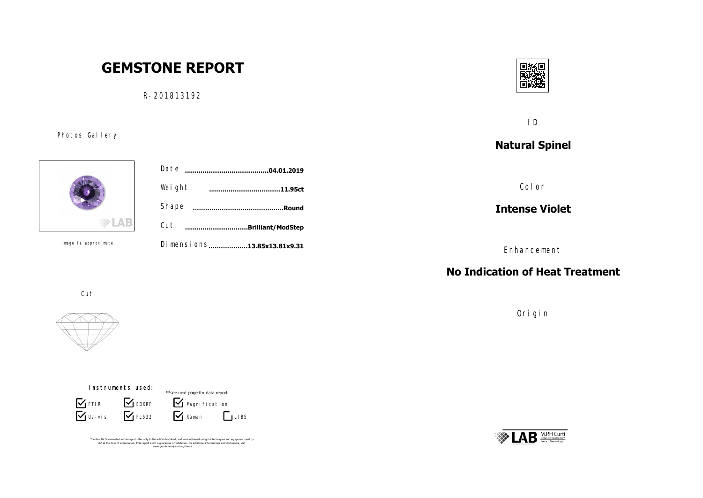# **GEMSTONE REPORT**

R-201813192

Photos Gallery



Image is approximate

|             | Date<br>.04.01.2019           |  |
|-------------|-------------------------------|--|
|             | Weight<br>.11.95ct            |  |
|             | Shape<br>.Round               |  |
|             | Cut<br><br>.Brilliant/ModStep |  |
| approximate | Di mensi ons13.85x13.81x9.31  |  |



ID

**Natural Spinel**

Color

**Intense Violet**

Enhancement

## **No Indication of Heat Treatment**

Origin



Cut



Instruments used:  $\overline{\mathbf{y}}$  Uv-vis **S** FTIR BEDXRF  $\sum$  PL532  $\sum$  Raman Magni fi cati on \*\*see next page for data report  $\Gamma$ LIBS

The Results Documented in this report refer only to the article described, and were obtained using the techniques and equipment used by<br>LAB at the time of examination. This report is not a guarantee or valutation. for addi